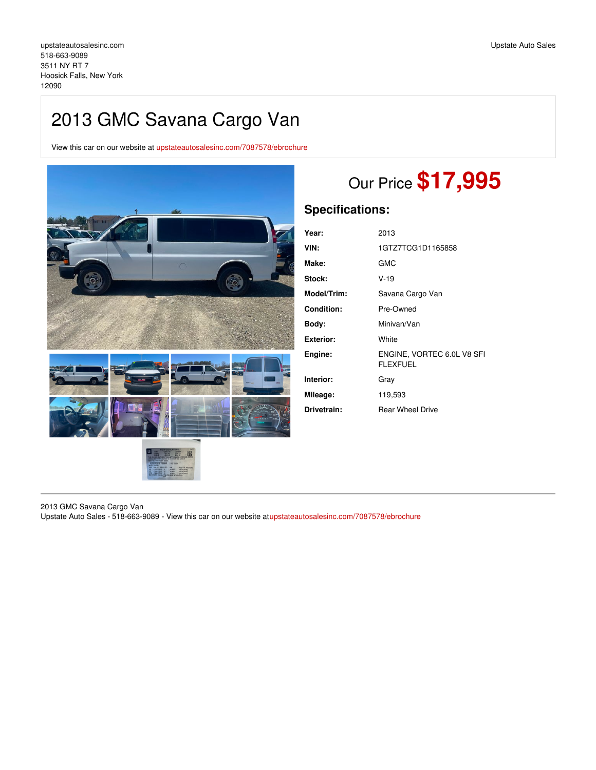## 2013 GMC Savana Cargo Van

View this car on our website at [upstateautosalesinc.com/7087578/ebrochure](https://upstateautosalesinc.com/vehicle/7087578/2013-gmc-savana-cargo-van-hoosick-falls-new-york-12090/7087578/ebrochure)



# Our Price **\$17,995**

## **Specifications:**

| Year:             | 2013                                          |
|-------------------|-----------------------------------------------|
| VIN:              | 1GTZ7TCG1D1165858                             |
| Make:             | <b>GMC</b>                                    |
| Stock:            | V-19                                          |
| Model/Trim:       | Savana Cargo Van                              |
| <b>Condition:</b> | Pre-Owned                                     |
| Body:             | Minivan/Van                                   |
| Exterior:         | White                                         |
| Engine:           | ENGINE, VORTEC 6.0L V8 SFI<br><b>FLEXFUEL</b> |
| Interior:         | Gray                                          |
| Mileage:          | 119,593                                       |
| Drivetrain:       | <b>Rear Wheel Drive</b>                       |

2013 GMC Savana Cargo Van

Upstate Auto Sales - 518-663-9089 - View this car on our website a[tupstateautosalesinc.com/7087578/ebrochure](https://upstateautosalesinc.com/vehicle/7087578/2013-gmc-savana-cargo-van-hoosick-falls-new-york-12090/7087578/ebrochure)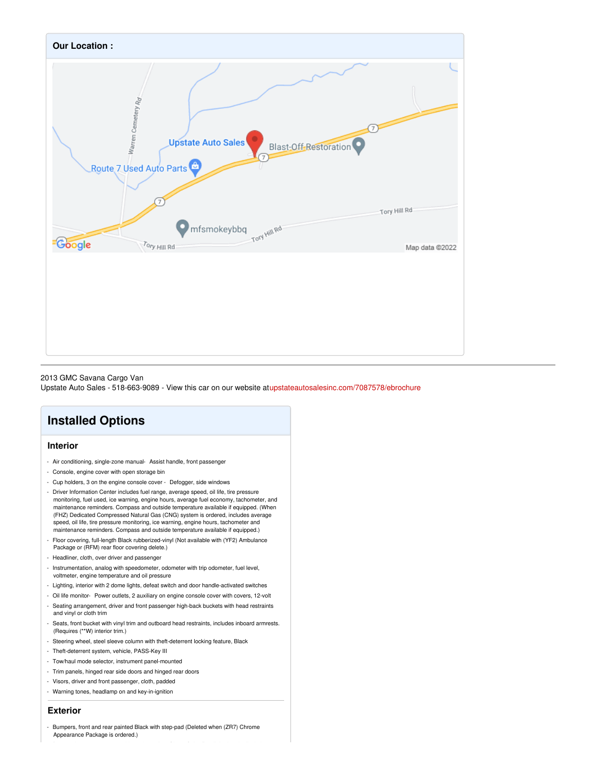

#### 2013 GMC Savana Cargo Van

Upstate Auto Sales - 518-663-9089 - View this car on our website a[tupstateautosalesinc.com/7087578/ebrochure](https://upstateautosalesinc.com/vehicle/7087578/2013-gmc-savana-cargo-van-hoosick-falls-new-york-12090/7087578/ebrochure)

## **Installed Options**

#### **Interior**

- Air conditioning, single-zone manual- Assist handle, front passenger
- Console, engine cover with open storage bin
- Cup holders, 3 on the engine console cover Defogger, side windows
- Driver Information Center includes fuel range, average speed, oil life, tire pressure monitoring, fuel used, ice warning, engine hours, average fuel economy, tachometer, and maintenance reminders. Compass and outside temperature available if equipped. (When (FHZ) Dedicated Compressed Natural Gas (CNG) system is ordered, includes average speed, oil life, tire pressure monitoring, ice warning, engine hours, tachometer and maintenance reminders. Compass and outside temperature available if equipped.)
- Floor covering, full-length Black rubberized-vinyl (Not available with (YF2) Ambulance Package or (RFM) rear floor covering delete.)
- Headliner, cloth, over driver and passenger
- Instrumentation, analog with speedometer, odometer with trip odometer, fuel level, voltmeter, engine temperature and oil pressure
- Lighting, interior with 2 dome lights, defeat switch and door handle-activated switches
- Oil life monitor- Power outlets, 2 auxiliary on engine console cover with covers, 12-volt
- Seating arrangement, driver and front passenger high-back buckets with head restraints and vinyl or cloth trim
- Seats, front bucket with vinyl trim and outboard head restraints, includes inboard armrests. (Requires (\*\*W) interior trim.)
- Steering wheel, steel sleeve column with theft-deterrent locking feature, Black
- Theft-deterrent system, vehicle, PASS-Key III
- Tow/haul mode selector, instrument panel-mounted
- Trim panels, hinged rear side doors and hinged rear doors
- Visors, driver and front passenger, cloth, padded
- Warning tones, headlamp on and key-in-ignition

#### **Exterior**

Bumpers, front and rear painted Black with step-pad (Deleted when (ZR7) Chrome Appearance Package is ordered.)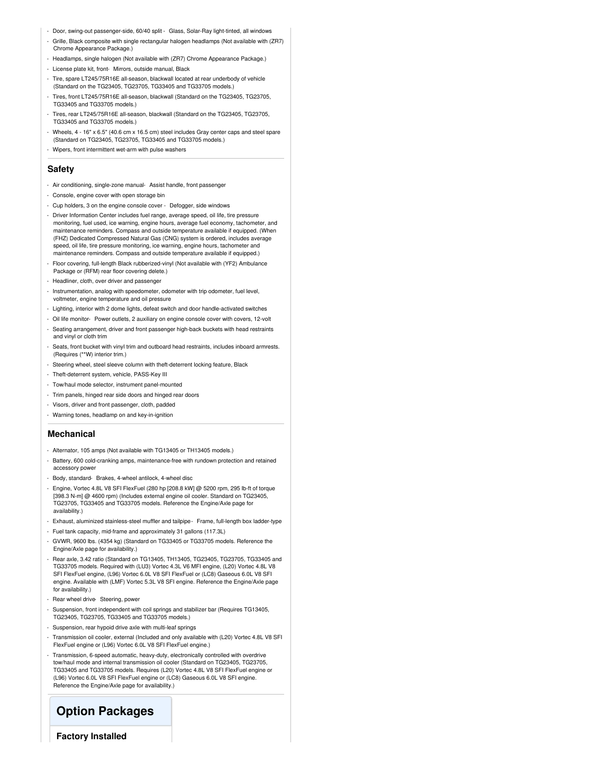- Door, swing-out passenger-side, 60/40 split Glass, Solar-Ray light-tinted, all windows
- Grille, Black composite with single rectangular halogen headlamps (Not available with (ZR7) Chrome Appearance Package.)
- Headlamps, single halogen (Not available with (ZR7) Chrome Appearance Package.)
- License plate kit, front- Mirrors, outside manual, Black
- Tire, spare LT245/75R16E all-season, blackwall located at rear underbody of vehicle (Standard on the TG23405, TG23705, TG33405 and TG33705 models.)
- Tires, front LT245/75R16E all-season, blackwall (Standard on the TG23405, TG23705, TG33405 and TG33705 models.)
- Tires, rear LT245/75R16E all-season, blackwall (Standard on the TG23405, TG23705, TG33405 and TG33705 models.)
- Wheels, 4 16" x 6.5" (40.6 cm x 16.5 cm) steel includes Gray center caps and steel spare (Standard on TG23405, TG23705, TG33405 and TG33705 models.)
- Wipers, front intermittent wet-arm with pulse washers

#### **Safety**

- Air conditioning, single-zone manual- Assist handle, front passenger
- Console, engine cover with open storage bin
- Cup holders, 3 on the engine console cover Defogger, side windows
- Driver Information Center includes fuel range, average speed, oil life, tire pressure monitoring, fuel used, ice warning, engine hours, average fuel economy, tachometer, and maintenance reminders. Compass and outside temperature available if equipped. (When (FHZ) Dedicated Compressed Natural Gas (CNG) system is ordered, includes average speed, oil life, tire pressure monitoring, ice warning, engine hours, tachometer and maintenance reminders. Compass and outside temperature available if equipped.)
- Floor covering, full-length Black rubberized-vinyl (Not available with (YF2) Ambulance Package or (RFM) rear floor covering delete.)
- Headliner, cloth, over driver and passenger
- Instrumentation, analog with speedometer, odometer with trip odometer, fuel level, voltmeter, engine temperature and oil pressure
- Lighting, interior with 2 dome lights, defeat switch and door handle-activated switches
- Oil life monitor- Power outlets, 2 auxiliary on engine console cover with covers, 12-volt - Seating arrangement, driver and front passenger high-back buckets with head restraints
- and vinyl or cloth trim
- Seats, front bucket with vinyl trim and outboard head restraints, includes inboard armrests. (Requires (\*\*W) interior trim.)
- Steering wheel, steel sleeve column with theft-deterrent locking feature, Black
- Theft-deterrent system, vehicle, PASS-Key III
- Tow/haul mode selector, instrument panel-mounted
- Trim panels, hinged rear side doors and hinged rear doors
- Visors, driver and front passenger, cloth, padded
- Warning tones, headlamp on and key-in-ignition

#### **Mechanical**

- Alternator, 105 amps (Not available with TG13405 or TH13405 models.)
- Battery, 600 cold-cranking amps, maintenance-free with rundown protection and retained accessory power
- Body, standard- Brakes, 4-wheel antilock, 4-wheel disc
- Engine, Vortec 4.8L V8 SFI FlexFuel (280 hp [208.8 kW] @ 5200 rpm, 295 lb-ft of torque [398.3 N-m] @ 4600 rpm) (Includes external engine oil cooler. Standard on TG23405, TG23705, TG33405 and TG33705 models. Reference the Engine/Axle page for availability.)
- Exhaust, aluminized stainless-steel muffler and tailpipe- Frame, full-length box ladder-type
- Fuel tank capacity, mid-frame and approximately 31 gallons (117.3L)
- GVWR, 9600 lbs. (4354 kg) (Standard on TG33405 or TG33705 models. Reference the Engine/Axle page for availability.)
- Rear axle, 3.42 ratio (Standard on TG13405, TH13405, TG23405, TG23705, TG33405 and TG33705 models. Required with (LU3) Vortec 4.3L V6 MFI engine, (L20) Vortec 4.8L V8 SFI FlexFuel engine, (L96) Vortec 6.0L V8 SFI FlexFuel or (LC8) Gaseous 6.0L V8 SFI engine. Available with (LMF) Vortec 5.3L V8 SFI engine. Reference the Engine/Axle page for availability.)
- Rear wheel drive- Steering, power
- Suspension, front independent with coil springs and stabilizer bar (Requires TG13405, TG23405, TG23705, TG33405 and TG33705 models.)
- Suspension, rear hypoid drive axle with multi-leaf springs
- Transmission oil cooler, external (Included and only available with (L20) Vortec 4.8L V8 SFI FlexFuel engine or (L96) Vortec 6.0L V8 SFI FlexFuel engine.)
- Transmission, 6-speed automatic, heavy-duty, electronically controlled with overdrive tow/haul mode and internal transmission oil cooler (Standard on TG23405, TG23705, TG33405 and TG33705 models. Requires (L20) Vortec 4.8L V8 SFI FlexFuel engine or (L96) Vortec 6.0L V8 SFI FlexFuel engine or (LC8) Gaseous 6.0L V8 SFI engine. Reference the Engine/Axle page for availability.)

### **Option Packages**

**Factory Installed**